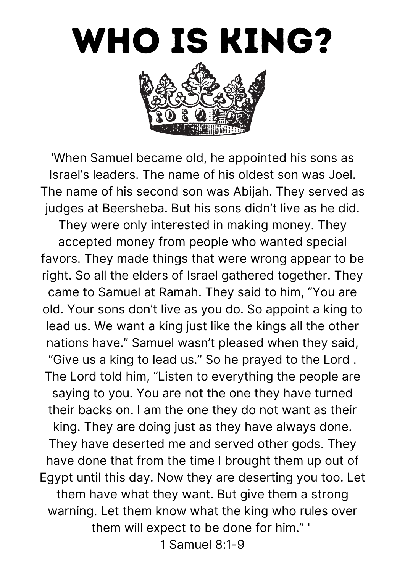

'When Samuel became old, he appointed his sons as Israel's leaders. The name of his oldest son was Joel. The name of his second son was Abijah. They served as judges at Beersheba. But his sons didn't live as he did. They were only interested in making money. They accepted money from people who wanted special favors. They made things that were wrong appear to be right. So all the elders of Israel gathered together. They came to Samuel at Ramah. They said to him, "You are old. Your sons don't live as you do. So appoint a king to lead us. We want a king just like the kings all the other nations have." Samuel wasn't pleased when they said, "Give us a king to lead us." So he prayed to the Lord . The Lord told him, "Listen to everything the people are saying to you. You are not the one they have turned their backs on. I am the one they do not want as their king. They are doing just as they have always done. They have deserted me and served other gods. They have done that from the time I brought them up out of Egypt until this day. Now they are deserting you too. Let them have what they want. But give them a strong warning. Let them know what the king who rules over them will expect to be done for him." '

1 Samuel 8:1-9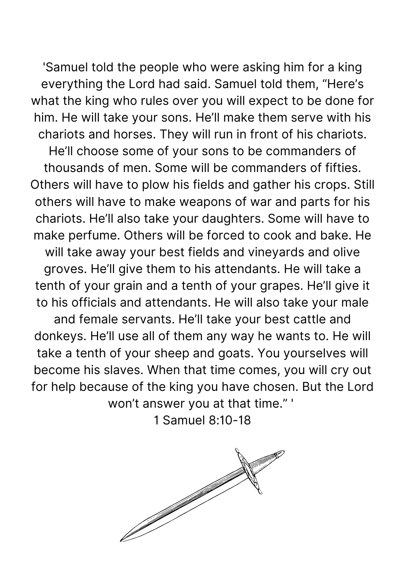'Samuel told the people who were asking him for a king everything the Lord had said. Samuel told them, "Here's what the king who rules over you will expect to be done for him. He will take your sons. He'll make them serve with his chariots and horses. They will run in front of his chariots. He'll choose some of your sons to be commanders of thousands of men. Some will be commanders of fifties. Others will have to plow his fields and gather his crops. Still others will have to make weapons of war and parts for his chariots. He'll also take your daughters. Some will have to make perfume. Others will be forced to cook and bake. He will take away your best fields and vineyards and olive groves. He'll give them to his attendants. He will take a tenth of your grain and a tenth of your grapes. He'll give it to his officials and attendants. He will also take your male and female servants. He'll take your best cattle and donkeys. He'll use all of them any way he wants to. He will take a tenth of your sheep and goats. You yourselves will become his slaves. When that time comes, you will cry out for help because of the king you have chosen. But the Lord won't answer you at that time." '

1 Samuel 8:10-18